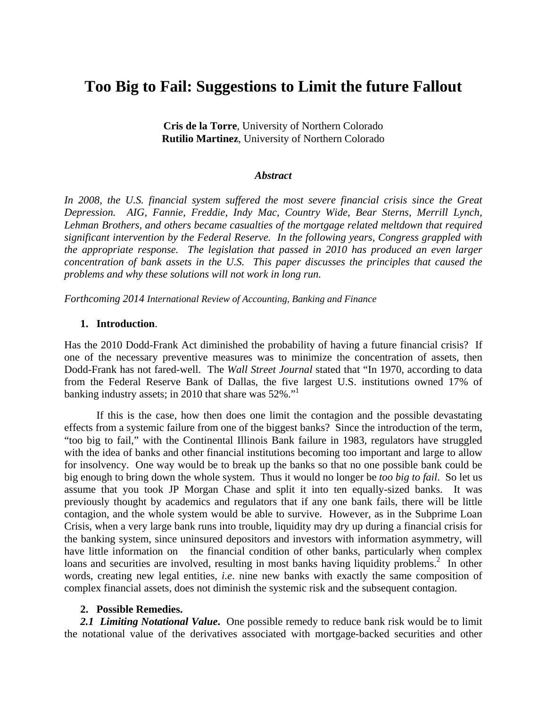# **Too Big to Fail: Suggestions to Limit the future Fallout**

**Cris de la Torre**, University of Northern Colorado **Rutilio Martinez**, University of Northern Colorado

#### *Abstract*

In 2008, the U.S. financial system suffered the most severe financial crisis since the Great *Depression. AIG, Fannie, Freddie, Indy Mac, Country Wide, Bear Sterns, Merrill Lynch, Lehman Brothers, and others became casualties of the mortgage related meltdown that required significant intervention by the Federal Reserve. In the following years, Congress grappled with the appropriate response. The legislation that passed in 2010 has produced an even larger concentration of bank assets in the U.S. This paper discusses the principles that caused the problems and why these solutions will not work in long run.* 

*Forthcoming 2014 International Review of Accounting, Banking and Finance* 

#### **1. Introduction**.

Has the 2010 Dodd-Frank Act diminished the probability of having a future financial crisis? If one of the necessary preventive measures was to minimize the concentration of assets, then Dodd-Frank has not fared-well. The *Wall Street Journal* stated that "In 1970, according to data from the Federal Reserve Bank of Dallas, the five largest U.S. institutions owned 17% of banking industry assets; in 2010 that share was 52%."<sup>1</sup>

If this is the case, how then does one limit the contagion and the possible devastating effects from a systemic failure from one of the biggest banks? Since the introduction of the term, "too big to fail," with the Continental Illinois Bank failure in 1983, regulators have struggled with the idea of banks and other financial institutions becoming too important and large to allow for insolvency.One way would be to break up the banks so that no one possible bank could be big enough to bring down the whole system. Thus it would no longer be *too big to fail*. So let us assume that you took JP Morgan Chase and split it into ten equally-sized banks. It was previously thought by academics and regulators that if any one bank fails, there will be little contagion, and the whole system would be able to survive. However, as in the Subprime Loan Crisis, when a very large bank runs into trouble, liquidity may dry up during a financial crisis for the banking system, since uninsured depositors and investors with information asymmetry, will have little information on the financial condition of other banks, particularly when complex loans and securities are involved, resulting in most banks having liquidity problems.<sup>2</sup> In other words, creating new legal entities, *i.e*. nine new banks with exactly the same composition of complex financial assets, does not diminish the systemic risk and the subsequent contagion.

#### **2. Possible Remedies.**

*2.1 Limiting Notational Value***.** One possible remedy to reduce bank risk would be to limit the notational value of the derivatives associated with mortgage-backed securities and other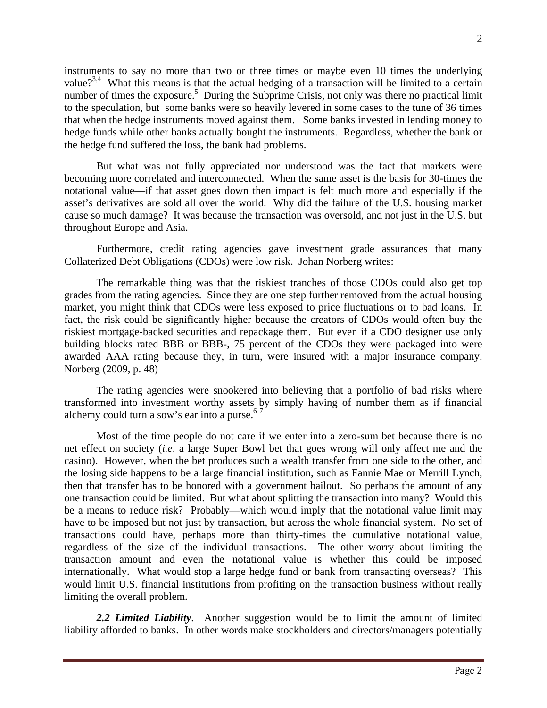instruments to say no more than two or three times or maybe even 10 times the underlying value?<sup>3,4</sup> What this means is that the actual hedging of a transaction will be limited to a certain number of times the exposure.<sup>5</sup> During the Subprime Crisis, not only was there no practical limit to the speculation, but some banks were so heavily levered in some cases to the tune of 36 times that when the hedge instruments moved against them. Some banks invested in lending money to hedge funds while other banks actually bought the instruments. Regardless, whether the bank or the hedge fund suffered the loss, the bank had problems.

But what was not fully appreciated nor understood was the fact that markets were becoming more correlated and interconnected. When the same asset is the basis for 30-times the notational value—if that asset goes down then impact is felt much more and especially if the asset's derivatives are sold all over the world. Why did the failure of the U.S. housing market cause so much damage? It was because the transaction was oversold, and not just in the U.S. but throughout Europe and Asia.

Furthermore, credit rating agencies gave investment grade assurances that many Collaterized Debt Obligations (CDOs) were low risk. Johan Norberg writes:

The remarkable thing was that the riskiest tranches of those CDOs could also get top grades from the rating agencies. Since they are one step further removed from the actual housing market, you might think that CDOs were less exposed to price fluctuations or to bad loans. In fact, the risk could be significantly higher because the creators of CDOs would often buy the riskiest mortgage-backed securities and repackage them. But even if a CDO designer use only building blocks rated BBB or BBB-, 75 percent of the CDOs they were packaged into were awarded AAA rating because they, in turn, were insured with a major insurance company. Norberg (2009, p. 48)

The rating agencies were snookered into believing that a portfolio of bad risks where transformed into investment worthy assets by simply having of number them as if financial alchemy could turn a sow's ear into a purse. $67$ 

Most of the time people do not care if we enter into a zero-sum bet because there is no net effect on society (*i.e*. a large Super Bowl bet that goes wrong will only affect me and the casino). However, when the bet produces such a wealth transfer from one side to the other, and the losing side happens to be a large financial institution, such as Fannie Mae or Merrill Lynch, then that transfer has to be honored with a government bailout. So perhaps the amount of any one transaction could be limited. But what about splitting the transaction into many? Would this be a means to reduce risk? Probably—which would imply that the notational value limit may have to be imposed but not just by transaction, but across the whole financial system. No set of transactions could have, perhaps more than thirty-times the cumulative notational value, regardless of the size of the individual transactions. The other worry about limiting the transaction amount and even the notational value is whether this could be imposed internationally. What would stop a large hedge fund or bank from transacting overseas? This would limit U.S. financial institutions from profiting on the transaction business without really limiting the overall problem.

*2.2 Limited Liability*. Another suggestion would be to limit the amount of limited liability afforded to banks. In other words make stockholders and directors/managers potentially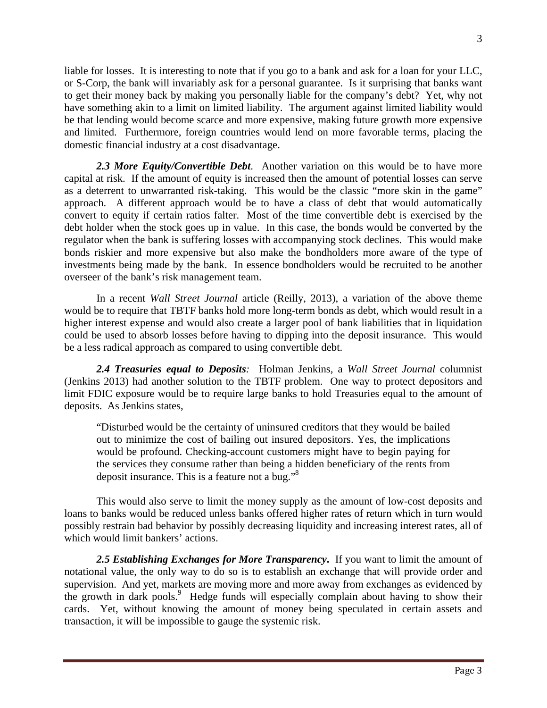liable for losses. It is interesting to note that if you go to a bank and ask for a loan for your LLC, or S-Corp, the bank will invariably ask for a personal guarantee. Is it surprising that banks want to get their money back by making you personally liable for the company's debt? Yet, why not have something akin to a limit on limited liability. The argument against limited liability would be that lending would become scarce and more expensive, making future growth more expensive and limited. Furthermore, foreign countries would lend on more favorable terms, placing the domestic financial industry at a cost disadvantage.

*2.3 More Equity/Convertible Debt*. Another variation on this would be to have more capital at risk. If the amount of equity is increased then the amount of potential losses can serve as a deterrent to unwarranted risk-taking. This would be the classic "more skin in the game" approach. A different approach would be to have a class of debt that would automatically convert to equity if certain ratios falter. Most of the time convertible debt is exercised by the debt holder when the stock goes up in value. In this case, the bonds would be converted by the regulator when the bank is suffering losses with accompanying stock declines. This would make bonds riskier and more expensive but also make the bondholders more aware of the type of investments being made by the bank. In essence bondholders would be recruited to be another overseer of the bank's risk management team.

In a recent *Wall Street Journal* article (Reilly, 2013), a variation of the above theme would be to require that TBTF banks hold more long-term bonds as debt, which would result in a higher interest expense and would also create a larger pool of bank liabilities that in liquidation could be used to absorb losses before having to dipping into the deposit insurance. This would be a less radical approach as compared to using convertible debt.

*2.4 Treasuries equal to Deposits:*Holman Jenkins, a *Wall Street Journal* columnist (Jenkins 2013) had another solution to the TBTF problem. One way to protect depositors and limit FDIC exposure would be to require large banks to hold Treasuries equal to the amount of deposits. As Jenkins states,

"Disturbed would be the certainty of uninsured creditors that they would be bailed out to minimize the cost of bailing out insured depositors. Yes, the implications would be profound. Checking-account customers might have to begin paying for the services they consume rather than being a hidden beneficiary of the rents from deposit insurance. This is a feature not a bug."<sup>8</sup>

This would also serve to limit the money supply as the amount of low-cost deposits and loans to banks would be reduced unless banks offered higher rates of return which in turn would possibly restrain bad behavior by possibly decreasing liquidity and increasing interest rates, all of which would limit bankers' actions.

*2.5 Establishing Exchanges for More Transparency***.** If you want to limit the amount of notational value, the only way to do so is to establish an exchange that will provide order and supervision. And yet, markets are moving more and more away from exchanges as evidenced by the growth in dark pools.<sup>9</sup> Hedge funds will especially complain about having to show their cards. Yet, without knowing the amount of money being speculated in certain assets and transaction, it will be impossible to gauge the systemic risk.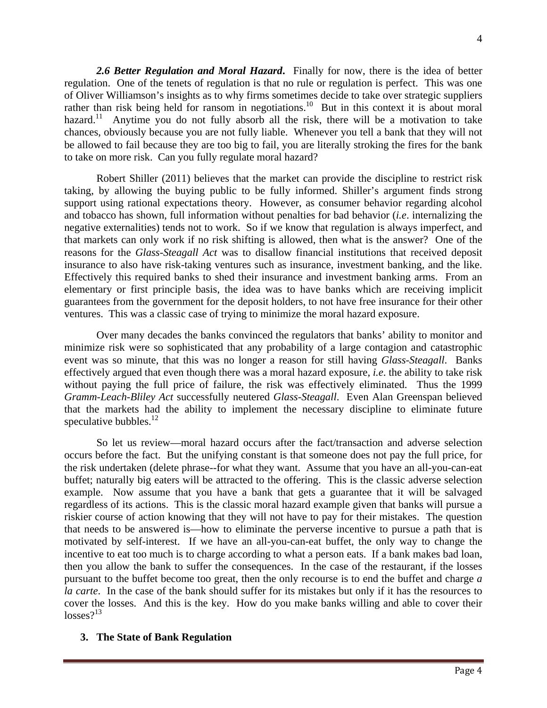*2.6 Better Regulation and Moral Hazard***.** Finally for now, there is the idea of better regulation. One of the tenets of regulation is that no rule or regulation is perfect. This was one of Oliver Williamson's insights as to why firms sometimes decide to take over strategic suppliers rather than risk being held for ransom in negotiations.<sup>10</sup> But in this context it is about moral hazard.<sup>11</sup> Anytime you do not fully absorb all the risk, there will be a motivation to take chances, obviously because you are not fully liable. Whenever you tell a bank that they will not be allowed to fail because they are too big to fail, you are literally stroking the fires for the bank to take on more risk. Can you fully regulate moral hazard?

Robert Shiller (2011) believes that the market can provide the discipline to restrict risk taking, by allowing the buying public to be fully informed. Shiller's argument finds strong support using rational expectations theory. However, as consumer behavior regarding alcohol and tobacco has shown, full information without penalties for bad behavior (*i.e*. internalizing the negative externalities) tends not to work. So if we know that regulation is always imperfect, and that markets can only work if no risk shifting is allowed, then what is the answer? One of the reasons for the *Glass-Steagall Act* was to disallow financial institutions that received deposit insurance to also have risk-taking ventures such as insurance, investment banking, and the like. Effectively this required banks to shed their insurance and investment banking arms. From an elementary or first principle basis, the idea was to have banks which are receiving implicit guarantees from the government for the deposit holders, to not have free insurance for their other ventures. This was a classic case of trying to minimize the moral hazard exposure.

Over many decades the banks convinced the regulators that banks' ability to monitor and minimize risk were so sophisticated that any probability of a large contagion and catastrophic event was so minute, that this was no longer a reason for still having *Glass-Steagall*. Banks effectively argued that even though there was a moral hazard exposure, *i.e*. the ability to take risk without paying the full price of failure, the risk was effectively eliminated. Thus the 1999 *Gramm-Leach-Bliley Act* successfully neutered *Glass-Steagall*. Even Alan Greenspan believed that the markets had the ability to implement the necessary discipline to eliminate future speculative bubbles. $^{12}$ 

So let us review—moral hazard occurs after the fact/transaction and adverse selection occurs before the fact. But the unifying constant is that someone does not pay the full price, for the risk undertaken (delete phrase--for what they want. Assume that you have an all-you-can-eat buffet; naturally big eaters will be attracted to the offering. This is the classic adverse selection example. Now assume that you have a bank that gets a guarantee that it will be salvaged regardless of its actions. This is the classic moral hazard example given that banks will pursue a riskier course of action knowing that they will not have to pay for their mistakes. The question that needs to be answered is—how to eliminate the perverse incentive to pursue a path that is motivated by self-interest. If we have an all-you-can-eat buffet, the only way to change the incentive to eat too much is to charge according to what a person eats. If a bank makes bad loan, then you allow the bank to suffer the consequences. In the case of the restaurant, if the losses pursuant to the buffet become too great, then the only recourse is to end the buffet and charge *a la carte*. In the case of the bank should suffer for its mistakes but only if it has the resources to cover the losses. And this is the key. How do you make banks willing and able to cover their  $losses?$ <sup>13</sup>

### **3. The State of Bank Regulation**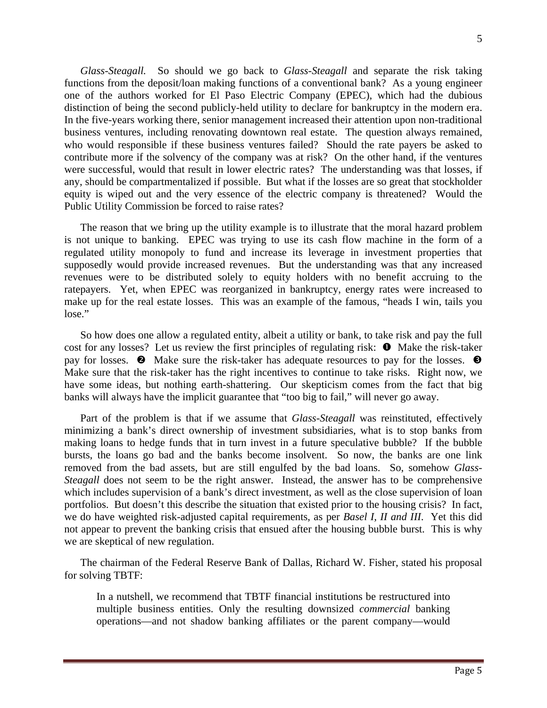*Glass-Steagall.* So should we go back to *Glass-Steagall* and separate the risk taking functions from the deposit/loan making functions of a conventional bank? As a young engineer one of the authors worked for El Paso Electric Company (EPEC), which had the dubious distinction of being the second publicly-held utility to declare for bankruptcy in the modern era. In the five-years working there, senior management increased their attention upon non-traditional business ventures, including renovating downtown real estate. The question always remained, who would responsible if these business ventures failed? Should the rate payers be asked to contribute more if the solvency of the company was at risk? On the other hand, if the ventures were successful, would that result in lower electric rates? The understanding was that losses, if any, should be compartmentalized if possible. But what if the losses are so great that stockholder equity is wiped out and the very essence of the electric company is threatened? Would the Public Utility Commission be forced to raise rates?

The reason that we bring up the utility example is to illustrate that the moral hazard problem is not unique to banking. EPEC was trying to use its cash flow machine in the form of a regulated utility monopoly to fund and increase its leverage in investment properties that supposedly would provide increased revenues. But the understanding was that any increased revenues were to be distributed solely to equity holders with no benefit accruing to the ratepayers. Yet, when EPEC was reorganized in bankruptcy, energy rates were increased to make up for the real estate losses. This was an example of the famous, "heads I win, tails you lose."

So how does one allow a regulated entity, albeit a utility or bank, to take risk and pay the full cost for any losses? Let us review the first principles of regulating risk:  $\bullet$  Make the risk-taker pay for losses.  $\bullet$  Make sure the risk-taker has adequate resources to pay for the losses.  $\bullet$ Make sure that the risk-taker has the right incentives to continue to take risks. Right now, we have some ideas, but nothing earth-shattering. Our skepticism comes from the fact that big banks will always have the implicit guarantee that "too big to fail," will never go away.

Part of the problem is that if we assume that *Glass-Steagall* was reinstituted, effectively minimizing a bank's direct ownership of investment subsidiaries, what is to stop banks from making loans to hedge funds that in turn invest in a future speculative bubble? If the bubble bursts, the loans go bad and the banks become insolvent. So now, the banks are one link removed from the bad assets, but are still engulfed by the bad loans. So, somehow *Glass-Steagall* does not seem to be the right answer. Instead, the answer has to be comprehensive which includes supervision of a bank's direct investment, as well as the close supervision of loan portfolios. But doesn't this describe the situation that existed prior to the housing crisis? In fact, we do have weighted risk-adjusted capital requirements, as per *Basel I, II and III*. Yet this did not appear to prevent the banking crisis that ensued after the housing bubble burst. This is why we are skeptical of new regulation.

The chairman of the Federal Reserve Bank of Dallas, Richard W. Fisher, stated his proposal for solving TBTF:

In a nutshell, we recommend that TBTF financial institutions be restructured into multiple business entities. Only the resulting downsized *commercial* banking operations—and not shadow banking affiliates or the parent company—would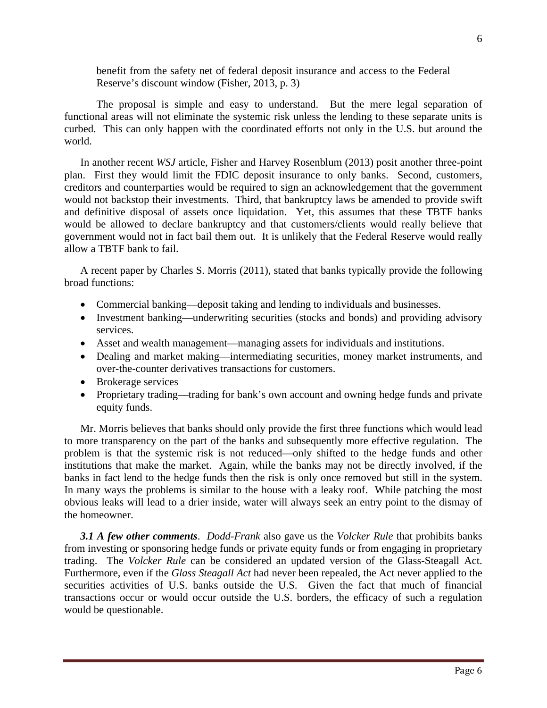benefit from the safety net of federal deposit insurance and access to the Federal Reserve's discount window (Fisher, 2013, p. 3)

The proposal is simple and easy to understand. But the mere legal separation of functional areas will not eliminate the systemic risk unless the lending to these separate units is curbed. This can only happen with the coordinated efforts not only in the U.S. but around the world.

In another recent *WSJ* article, Fisher and Harvey Rosenblum (2013) posit another three-point plan. First they would limit the FDIC deposit insurance to only banks. Second, customers, creditors and counterparties would be required to sign an acknowledgement that the government would not backstop their investments. Third, that bankruptcy laws be amended to provide swift and definitive disposal of assets once liquidation. Yet, this assumes that these TBTF banks would be allowed to declare bankruptcy and that customers/clients would really believe that government would not in fact bail them out. It is unlikely that the Federal Reserve would really allow a TBTF bank to fail.

A recent paper by Charles S. Morris (2011), stated that banks typically provide the following broad functions:

- Commercial banking—deposit taking and lending to individuals and businesses.
- Investment banking—underwriting securities (stocks and bonds) and providing advisory services.
- Asset and wealth management—managing assets for individuals and institutions.
- Dealing and market making—intermediating securities, money market instruments, and over-the-counter derivatives transactions for customers.
- Brokerage services
- Proprietary trading—trading for bank's own account and owning hedge funds and private equity funds.

Mr. Morris believes that banks should only provide the first three functions which would lead to more transparency on the part of the banks and subsequently more effective regulation. The problem is that the systemic risk is not reduced—only shifted to the hedge funds and other institutions that make the market. Again, while the banks may not be directly involved, if the banks in fact lend to the hedge funds then the risk is only once removed but still in the system. In many ways the problems is similar to the house with a leaky roof. While patching the most obvious leaks will lead to a drier inside, water will always seek an entry point to the dismay of the homeowner.

*3.1 A few other comments*. *Dodd-Frank* also gave us the *Volcker Rule* that prohibits banks from investing or sponsoring hedge funds or private equity funds or from engaging in proprietary trading. The *Volcker Rule* can be considered an updated version of the Glass-Steagall Act. Furthermore, even if the *Glass Steagall Act* had never been repealed, the Act never applied to the securities activities of U.S. banks outside the U.S. Given the fact that much of financial transactions occur or would occur outside the U.S. borders, the efficacy of such a regulation would be questionable.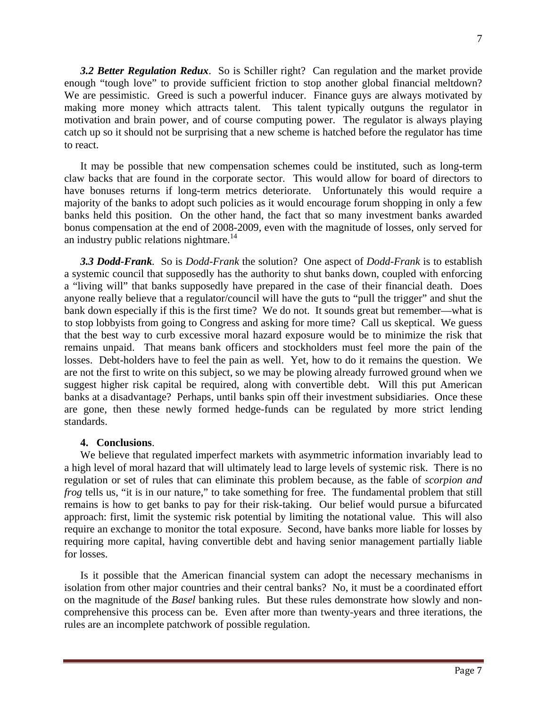*3.2 Better Regulation Redux*. So is Schiller right? Can regulation and the market provide enough "tough love" to provide sufficient friction to stop another global financial meltdown? We are pessimistic. Greed is such a powerful inducer. Finance guys are always motivated by making more money which attracts talent. This talent typically outguns the regulator in motivation and brain power, and of course computing power. The regulator is always playing catch up so it should not be surprising that a new scheme is hatched before the regulator has time to react.

It may be possible that new compensation schemes could be instituted, such as long-term claw backs that are found in the corporate sector. This would allow for board of directors to have bonuses returns if long-term metrics deteriorate. Unfortunately this would require a majority of the banks to adopt such policies as it would encourage forum shopping in only a few banks held this position. On the other hand, the fact that so many investment banks awarded bonus compensation at the end of 2008-2009, even with the magnitude of losses, only served for an industry public relations nightmare.<sup>14</sup>

*3.3 Dodd-Frank.* So is *Dodd-Frank* the solution? One aspect of *Dodd-Frank* is to establish a systemic council that supposedly has the authority to shut banks down, coupled with enforcing a "living will" that banks supposedly have prepared in the case of their financial death. Does anyone really believe that a regulator/council will have the guts to "pull the trigger" and shut the bank down especially if this is the first time? We do not. It sounds great but remember—what is to stop lobbyists from going to Congress and asking for more time? Call us skeptical. We guess that the best way to curb excessive moral hazard exposure would be to minimize the risk that remains unpaid. That means bank officers and stockholders must feel more the pain of the losses. Debt-holders have to feel the pain as well. Yet, how to do it remains the question. We are not the first to write on this subject, so we may be plowing already furrowed ground when we suggest higher risk capital be required, along with convertible debt. Will this put American banks at a disadvantage? Perhaps, until banks spin off their investment subsidiaries. Once these are gone, then these newly formed hedge-funds can be regulated by more strict lending standards.

## **4. Conclusions**.

We believe that regulated imperfect markets with asymmetric information invariably lead to a high level of moral hazard that will ultimately lead to large levels of systemic risk. There is no regulation or set of rules that can eliminate this problem because, as the fable of *scorpion and frog* tells us, "it is in our nature," to take something for free. The fundamental problem that still remains is how to get banks to pay for their risk-taking. Our belief would pursue a bifurcated approach: first, limit the systemic risk potential by limiting the notational value. This will also require an exchange to monitor the total exposure. Second, have banks more liable for losses by requiring more capital, having convertible debt and having senior management partially liable for losses.

Is it possible that the American financial system can adopt the necessary mechanisms in isolation from other major countries and their central banks? No, it must be a coordinated effort on the magnitude of the *Basel* banking rules. But these rules demonstrate how slowly and noncomprehensive this process can be. Even after more than twenty-years and three iterations, the rules are an incomplete patchwork of possible regulation.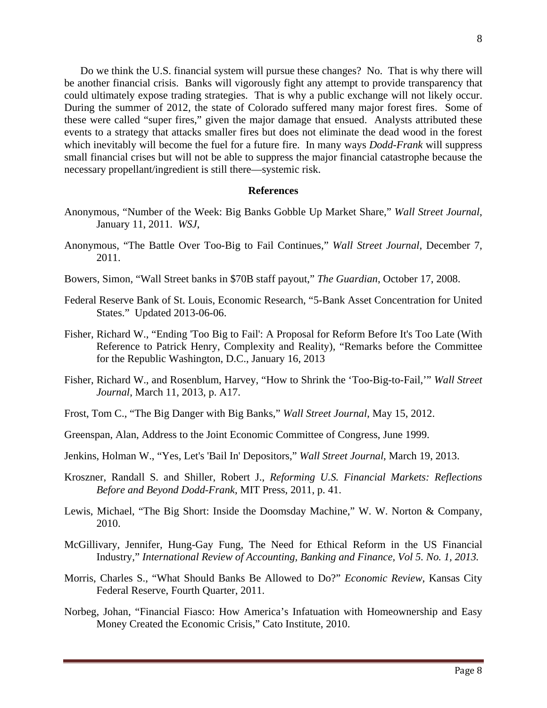Do we think the U.S. financial system will pursue these changes? No. That is why there will be another financial crisis. Banks will vigorously fight any attempt to provide transparency that could ultimately expose trading strategies. That is why a public exchange will not likely occur. During the summer of 2012, the state of Colorado suffered many major forest fires. Some of these were called "super fires," given the major damage that ensued. Analysts attributed these events to a strategy that attacks smaller fires but does not eliminate the dead wood in the forest which inevitably will become the fuel for a future fire. In many ways *Dodd-Frank* will suppress small financial crises but will not be able to suppress the major financial catastrophe because the necessary propellant/ingredient is still there—systemic risk.

#### **References**

- Anonymous, "Number of the Week: Big Banks Gobble Up Market Share," *Wall Street Journal*, January 11, 2011. *WSJ*,
- Anonymous, "The Battle Over Too-Big to Fail Continues," *Wall Street Journal*, December 7, 2011.
- Bowers, Simon, "Wall Street banks in \$70B staff payout," *The Guardian*, October 17, 2008.
- Federal Reserve Bank of St. Louis, Economic Research, "5-Bank Asset Concentration for United States." Updated 2013-06-06.
- Fisher, Richard W., "Ending 'Too Big to Fail': A Proposal for Reform Before It's Too Late (With Reference to Patrick Henry, Complexity and Reality), "Remarks before the Committee for the Republic Washington, D.C., January 16, 2013
- Fisher, Richard W., and Rosenblum, Harvey, "How to Shrink the 'Too-Big-to-Fail,'" *Wall Street Journal*, March 11, 2013, p. A17.
- Frost, Tom C., "The Big Danger with Big Banks," *Wall Street Journal*, May 15, 2012.
- Greenspan, Alan, Address to the Joint Economic Committee of Congress, June 1999.
- Jenkins, Holman W., "Yes, Let's 'Bail In' Depositors," *Wall Street Journal*, March 19, 2013.
- Kroszner, Randall S. and Shiller, Robert J., *Reforming U.S. Financial Markets: Reflections Before and Beyond Dodd-Frank*, MIT Press, 2011, p. 41.
- Lewis, Michael, "The Big Short: Inside the Doomsday Machine," W. W. Norton & Company, 2010.
- McGillivary, Jennifer, Hung-Gay Fung, The Need for Ethical Reform in the US Financial Industry," *International Review of Accounting, Banking and Finance, Vol 5. No. 1, 2013.*
- Morris, Charles S., "What Should Banks Be Allowed to Do?" *Economic Review*, Kansas City Federal Reserve, Fourth Quarter, 2011.
- Norbeg, Johan, "Financial Fiasco: How America's Infatuation with Homeownership and Easy Money Created the Economic Crisis," Cato Institute, 2010.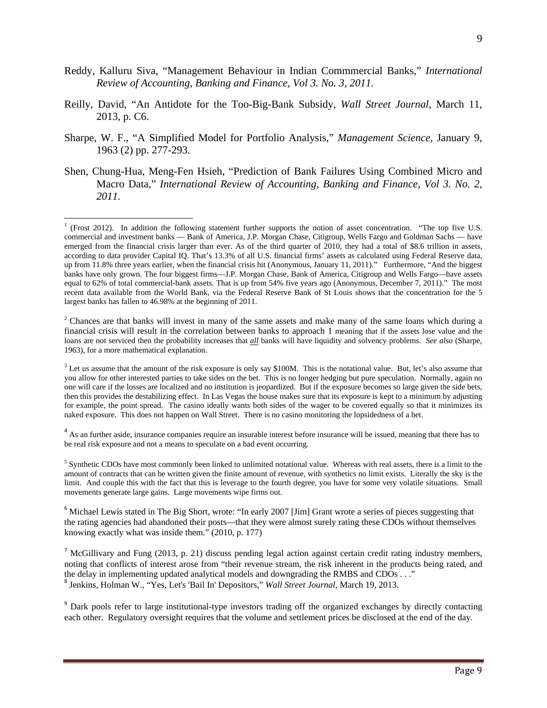- Reddy, Kalluru Siva, "Management Behaviour in Indian Commmercial Banks," *International Review of Accounting, Banking and Finance, Vol 3. No. 3, 2011.*
- Reilly, David, "An Antidote for the Too-Big-Bank Subsidy, *Wall Street Journal*, March 11, 2013, p. C6.
- Sharpe, W. F., "A Simplified Model for Portfolio Analysis," *Management Science*, January 9, 1963 (2) pp. 277-293.
- Shen, Chung-Hua, Meng-Fen Hsieh, "Prediction of Bank Failures Using Combined Micro and Macro Data," *International Review of Accounting, Banking and Finance, Vol 3. No. 2, 2011.*

<sup>2</sup> Chances are that banks will invest in many of the same assets and make many of the same loans which during a financial crisis will result in the correlation between banks to approach 1 meaning that if the assets lose value and the loans are not serviced then the probability increases that *all* banks will have liquidity and solvency problems. *See also* (Sharpe, 1963), for a more mathematical explanation.

 $3$  Let us assume that the amount of the risk exposure is only say \$100M. This is the notational value. But, let's also assume that you allow for other interested parties to take sides on the bet. This is no longer hedging but pure speculation. Normally, again no one will care if the losses are localized and no institution is jeopardized. But if the exposure becomes so large given the side bets, then this provides the destabilizing effect. In Las Vegas the house makes sure that its exposure is kept to a minimum by adjusting for example, the point spread. The casino ideally wants both sides of the wager to be covered equally so that it minimizes its naked exposure. This does not happen on Wall Street. There is no casino monitoring the lopsidedness of a bet.

<sup>4</sup> As an further aside, insurance companies require an insurable interest before insurance will be issued, meaning that there has to be real risk exposure and not a means to speculate on a bad event occurring.

<sup>6</sup> Michael Lewis stated in The Big Short, wrote: "In early 2007 [Jim] Grant wrote a series of pieces suggesting that the rating agencies had abandoned their posts—that they were almost surely rating these CDOs without themselves knowing exactly what was inside them." (2010, p. 177)

<sup>7</sup> McGillivary and Fung (2013, p. 21) discuss pending legal action against certain credit rating industry members, noting that conflicts of interest arose from "their revenue stream, the risk inherent in the products being rated, and the delay in implementing updated analytical models and downgrading the RMBS and CDOs . . ." <sup>8</sup> Jenkins, Holman W., "Yes, Let's 'Bail In' Depositors," *Wall Street Journal*, March 19, 2013.

<sup>9</sup> Dark pools refer to large institutional-type investors trading off the organized exchanges by directly contacting each other. Regulatory oversight requires that the volume and settlement prices be disclosed at the end of the day.

 $1$  (Frost 2012). In addition the following statement further supports the notion of asset concentration. "The top five U.S. commercial and investment banks — Bank of America, J.P. Morgan Chase, Citigroup, Wells Fargo and Goldman Sachs — have emerged from the financial crisis larger than ever. As of the third quarter of 2010, they had a total of \$8.6 trillion in assets, according to data provider Capital IQ. That's 13.3% of all U.S. financial firms' assets as calculated using Federal Reserve data, up from 11.8% three years earlier, when the financial crisis hit (Anonymous, January 11, 2011)." Furthermore, "And the biggest banks have only grown. The four biggest firms—J.P. Morgan Chase, Bank of America, Citigroup and Wells Fargo—have assets equal to 62% of total commercial-bank assets. That is up from 54% five years ago (Anonymous, December 7, 2011)." The most recent data available from the World Bank, via the Federal Reserve Bank of St Louis shows that the concentration for the 5 largest banks has fallen to 46.98% at the beginning of 2011.

<sup>&</sup>lt;sup>5</sup> Synthetic CDOs have most commonly been linked to unlimited notational value. Whereas with real assets, there is a limit to the amount of contracts that can be written given the finite amount of revenue, with synthetics no limit exists. Literally the sky is the limit. And couple this with the fact that this is leverage to the fourth degree, you have for some very volatile situations. Small movements generate large gains. Large movements wipe firms out.